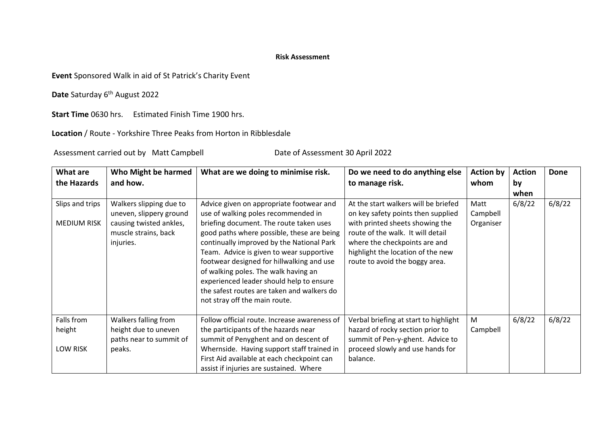## **Risk Assessment**

**Event** Sponsored Walk in aid of St Patrick's Charity Event

Date Saturday 6<sup>th</sup> August 2022

**Start Time** 0630 hrs. Estimated Finish Time 1900 hrs.

**Location** / Route - Yorkshire Three Peaks from Horton in Ribblesdale

Assessment carried out by Matt Campbell Date of Assessment 30 April 2022

| What are<br>the Hazards                 | Who Might be harmed<br>and how.                                                                                    | What are we doing to minimise risk.                                                                                                                                                                                                                                                                                                                                                                                                                                               | Do we need to do anything else<br>to manage risk.                                                                                                                                                                                                          | <b>Action by</b><br>whom      | <b>Action</b><br>by<br>when | <b>Done</b> |
|-----------------------------------------|--------------------------------------------------------------------------------------------------------------------|-----------------------------------------------------------------------------------------------------------------------------------------------------------------------------------------------------------------------------------------------------------------------------------------------------------------------------------------------------------------------------------------------------------------------------------------------------------------------------------|------------------------------------------------------------------------------------------------------------------------------------------------------------------------------------------------------------------------------------------------------------|-------------------------------|-----------------------------|-------------|
| Slips and trips<br><b>MEDIUM RISK</b>   | Walkers slipping due to<br>uneven, slippery ground<br>causing twisted ankles,<br>muscle strains, back<br>injuries. | Advice given on appropriate footwear and<br>use of walking poles recommended in<br>briefing document. The route taken uses<br>good paths where possible, these are being<br>continually improved by the National Park<br>Team. Advice is given to wear supportive<br>footwear designed for hillwalking and use<br>of walking poles. The walk having an<br>experienced leader should help to ensure<br>the safest routes are taken and walkers do<br>not stray off the main route. | At the start walkers will be briefed<br>on key safety points then supplied<br>with printed sheets showing the<br>route of the walk. It will detail<br>where the checkpoints are and<br>highlight the location of the new<br>route to avoid the boggy area. | Matt<br>Campbell<br>Organiser | 6/8/22                      | 6/8/22      |
| Falls from<br>height<br><b>LOW RISK</b> | Walkers falling from<br>height due to uneven<br>paths near to summit of<br>peaks.                                  | Follow official route. Increase awareness of<br>the participants of the hazards near<br>summit of Penyghent and on descent of<br>Whernside. Having support staff trained in                                                                                                                                                                                                                                                                                                       | Verbal briefing at start to highlight<br>hazard of rocky section prior to<br>summit of Pen-y-ghent. Advice to<br>proceed slowly and use hands for                                                                                                          | M<br>Campbell                 | 6/8/22                      | 6/8/22      |
|                                         |                                                                                                                    | First Aid available at each checkpoint can<br>assist if injuries are sustained. Where                                                                                                                                                                                                                                                                                                                                                                                             | balance.                                                                                                                                                                                                                                                   |                               |                             |             |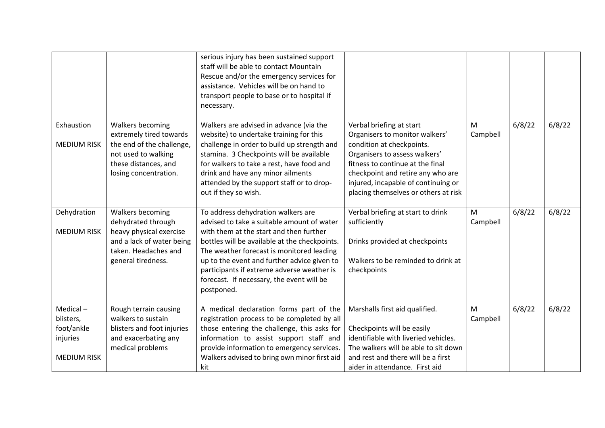|                                                                          |                                                                                                                                                  | serious injury has been sustained support<br>staff will be able to contact Mountain<br>Rescue and/or the emergency services for<br>assistance. Vehicles will be on hand to<br>transport people to base or to hospital if<br>necessary.                                                                                                                                            |                                                                                                                                                                                                                                                                                  |               |        |        |
|--------------------------------------------------------------------------|--------------------------------------------------------------------------------------------------------------------------------------------------|-----------------------------------------------------------------------------------------------------------------------------------------------------------------------------------------------------------------------------------------------------------------------------------------------------------------------------------------------------------------------------------|----------------------------------------------------------------------------------------------------------------------------------------------------------------------------------------------------------------------------------------------------------------------------------|---------------|--------|--------|
| Exhaustion<br><b>MEDIUM RISK</b>                                         | Walkers becoming<br>extremely tired towards<br>the end of the challenge,<br>not used to walking<br>these distances, and<br>losing concentration. | Walkers are advised in advance (via the<br>website) to undertake training for this<br>challenge in order to build up strength and<br>stamina. 3 Checkpoints will be available<br>for walkers to take a rest, have food and<br>drink and have any minor ailments<br>attended by the support staff or to drop-<br>out if they so wish.                                              | Verbal briefing at start<br>Organisers to monitor walkers'<br>condition at checkpoints.<br>Organisers to assess walkers'<br>fitness to continue at the final<br>checkpoint and retire any who are<br>injured, incapable of continuing or<br>placing themselves or others at risk | M<br>Campbell | 6/8/22 | 6/8/22 |
| Dehydration<br><b>MEDIUM RISK</b>                                        | Walkers becoming<br>dehydrated through<br>heavy physical exercise<br>and a lack of water being<br>taken. Headaches and<br>general tiredness.     | To address dehydration walkers are<br>advised to take a suitable amount of water<br>with them at the start and then further<br>bottles will be available at the checkpoints.<br>The weather forecast is monitored leading<br>up to the event and further advice given to<br>participants if extreme adverse weather is<br>forecast. If necessary, the event will be<br>postponed. | Verbal briefing at start to drink<br>sufficiently<br>Drinks provided at checkpoints<br>Walkers to be reminded to drink at<br>checkpoints                                                                                                                                         | M<br>Campbell | 6/8/22 | 6/8/22 |
| $Medical -$<br>blisters,<br>foot/ankle<br>injuries<br><b>MEDIUM RISK</b> | Rough terrain causing<br>walkers to sustain<br>blisters and foot injuries<br>and exacerbating any<br>medical problems                            | A medical declaration forms part of the<br>registration process to be completed by all<br>those entering the challenge, this asks for<br>information to assist support staff and<br>provide information to emergency services.<br>Walkers advised to bring own minor first aid<br>kit                                                                                             | Marshalls first aid qualified.<br>Checkpoints will be easily<br>identifiable with liveried vehicles.<br>The walkers will be able to sit down<br>and rest and there will be a first<br>aider in attendance. First aid                                                             | M<br>Campbell | 6/8/22 | 6/8/22 |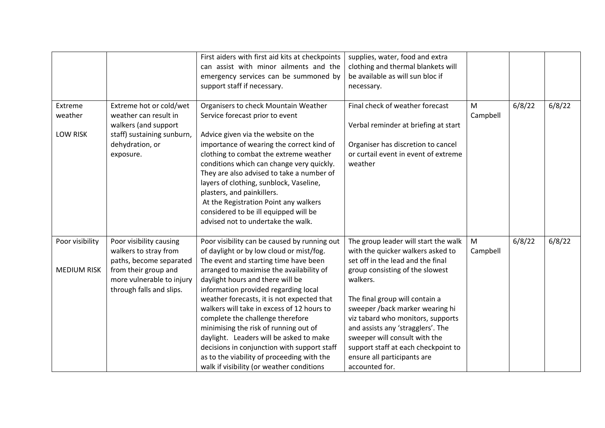|                                       |                                                                                                                                                              | First aiders with first aid kits at checkpoints<br>can assist with minor ailments and the<br>emergency services can be summoned by<br>support staff if necessary.                                                                                                                                                                                                                                                                                                                                                                                                                                                       | supplies, water, food and extra<br>clothing and thermal blankets will<br>be available as will sun bloc if<br>necessary.                                                                                                                                                                                                                                                                                                               |               |        |        |
|---------------------------------------|--------------------------------------------------------------------------------------------------------------------------------------------------------------|-------------------------------------------------------------------------------------------------------------------------------------------------------------------------------------------------------------------------------------------------------------------------------------------------------------------------------------------------------------------------------------------------------------------------------------------------------------------------------------------------------------------------------------------------------------------------------------------------------------------------|---------------------------------------------------------------------------------------------------------------------------------------------------------------------------------------------------------------------------------------------------------------------------------------------------------------------------------------------------------------------------------------------------------------------------------------|---------------|--------|--------|
| Extreme<br>weather<br><b>LOW RISK</b> | Extreme hot or cold/wet<br>weather can result in<br>walkers (and support<br>staff) sustaining sunburn,<br>dehydration, or<br>exposure.                       | Organisers to check Mountain Weather<br>Service forecast prior to event<br>Advice given via the website on the<br>importance of wearing the correct kind of<br>clothing to combat the extreme weather<br>conditions which can change very quickly.<br>They are also advised to take a number of<br>layers of clothing, sunblock, Vaseline,<br>plasters, and painkillers.<br>At the Registration Point any walkers<br>considered to be ill equipped will be<br>advised not to undertake the walk.                                                                                                                        | Final check of weather forecast<br>Verbal reminder at briefing at start<br>Organiser has discretion to cancel<br>or curtail event in event of extreme<br>weather                                                                                                                                                                                                                                                                      | M<br>Campbell | 6/8/22 | 6/8/22 |
| Poor visibility<br><b>MEDIUM RISK</b> | Poor visibility causing<br>walkers to stray from<br>paths, become separated<br>from their group and<br>more vulnerable to injury<br>through falls and slips. | Poor visibility can be caused by running out<br>of daylight or by low cloud or mist/fog.<br>The event and starting time have been<br>arranged to maximise the availability of<br>daylight hours and there will be<br>information provided regarding local<br>weather forecasts, it is not expected that<br>walkers will take in excess of 12 hours to<br>complete the challenge therefore<br>minimising the risk of running out of<br>daylight. Leaders will be asked to make<br>decisions in conjunction with support staff<br>as to the viability of proceeding with the<br>walk if visibility (or weather conditions | The group leader will start the walk<br>with the quicker walkers asked to<br>set off in the lead and the final<br>group consisting of the slowest<br>walkers.<br>The final group will contain a<br>sweeper /back marker wearing hi<br>viz tabard who monitors, supports<br>and assists any 'stragglers'. The<br>sweeper will consult with the<br>support staff at each checkpoint to<br>ensure all participants are<br>accounted for. | M<br>Campbell | 6/8/22 | 6/8/22 |